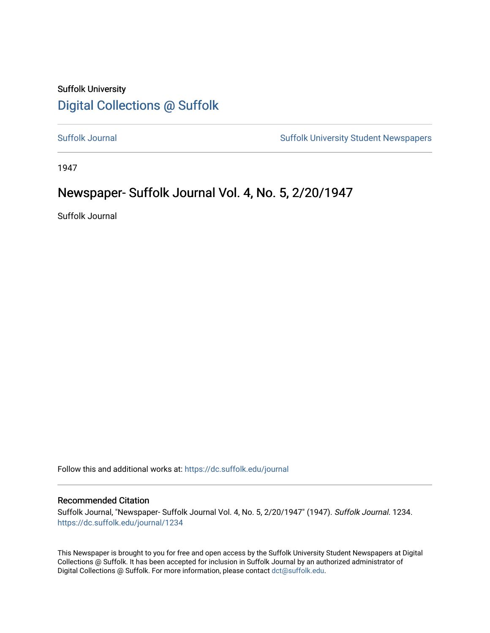## Suffolk University [Digital Collections @ Suffolk](https://dc.suffolk.edu/)

[Suffolk Journal](https://dc.suffolk.edu/journal) [Suffolk University Student Newspapers](https://dc.suffolk.edu/newspapers) 

1947

## Newspaper- Suffolk Journal Vol. 4, No. 5, 2/20/1947

Suffolk Journal

Follow this and additional works at: [https://dc.suffolk.edu/journal](https://dc.suffolk.edu/journal?utm_source=dc.suffolk.edu%2Fjournal%2F1234&utm_medium=PDF&utm_campaign=PDFCoverPages)

#### Recommended Citation

Suffolk Journal, "Newspaper- Suffolk Journal Vol. 4, No. 5, 2/20/1947" (1947). Suffolk Journal. 1234. [https://dc.suffolk.edu/journal/1234](https://dc.suffolk.edu/journal/1234?utm_source=dc.suffolk.edu%2Fjournal%2F1234&utm_medium=PDF&utm_campaign=PDFCoverPages) 

This Newspaper is brought to you for free and open access by the Suffolk University Student Newspapers at Digital Collections @ Suffolk. It has been accepted for inclusion in Suffolk Journal by an authorized administrator of Digital Collections @ Suffolk. For more information, please contact [dct@suffolk.edu](mailto:dct@suffolk.edu).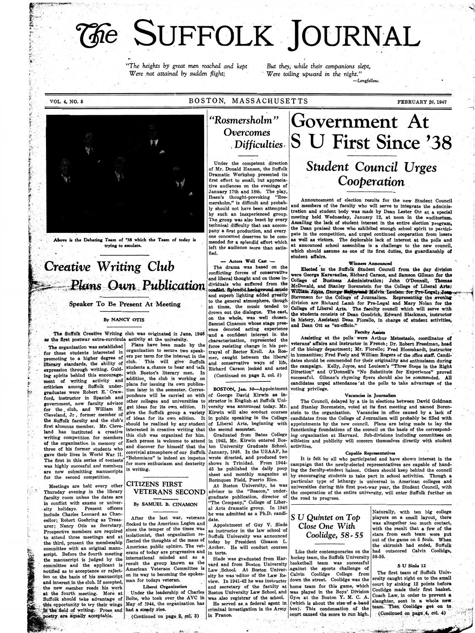,~~p~~~~~

 $\sum_{i=1}^n$ 

 $k \sim -1$ 

~:  $\sim$ 

ÿ., -,  $\acute{\text{y}}$  $\sim$  $\cdot$ ~! ;i• l-

 $\mathcal{F}$ 

~  $\mathcal{U}$  .  $\mathbb{F}$  . in Mark J:,

 $\mathbf{v}$ F;.

 $\ddot{\epsilon}$ .

"A,

### VOL. 4, NO. 5 BOSTON, MASSACHUSETTS FEBRUARY 20, 1947

*"Ge SUFFOLK JOURNAL* 

... *"The heights by great men reached and kept were* . *hot attained by sudden flight;* 

Above is the Debating Team of '38 which the Team of today is trying to emulate.

# *Creative Writing Club* The drama was based on the Elected to the Suffolk Student Council from the day division conflicting forces of conservative were George Karayasiles. Richard Carson and Samson Gilman for the

#### By NANCY OTIS

The Suffolk Creative Writing club was originated in June, 1946 as the first postwar extra-curricula activity at the university.

*-But they, while their companions slept,*  · *Were toiling upward in the n'ight." -Longfellow.* 

*''Rosmersholm* '' *Overcomes* 

Under the competent direction of Mr. Donald Hanson, the Suffolk Dramatic Workshop presented its first effort to small, but appreciative audiences on the evenings of January 17th and 18th. The play, Ibsen's thought-provoking "Rosmersholm," is difficult and probably should not have been attempted by such an inexperienced group. The group was also beset by every technical difficulty that can accompany a first production, and every one concerned deserves to be com mended for a splendid effort which left the audience more than satisfied.

Samuel Cinamon whose stage pres- and Dean Ott as "ex-officio." ence denoted ac~ing exp~rienee . Faculty Aatiatl . trayal of Rector Kroll. As Rosmer, caught between the liberal<br>and conservative ways of life,

## . *Difficulties* , S U First Since '38 *Student Council Urges*  -*Cooperation*

Government At

Announcement of election results for the new Student Council and members of the faculty who will serve to integrate the administration and student body was made by Dean Lester· Ott at a special meeting held Wednesday, January 12, at noon in the auditorium. Assailing the lack of student interest in the entire election program, the Dean praised those who exhibited enough school spirit to participate in the competition, and urged continued cooperation from losers as well as victors. The deplorable lack of interest at the polls and at announced school assemblies is a challenge to the new council, which should assume as one of its first duties, the guardianship of student affairs.

conflicting forces of conservative were George Karavasiles, Richard Carson, and Samson Gilman for the<br>and liberal thought and on those in-<br>dividuals who suffered from the McDonald, and Stanley Borenstein for the College of **Plans** Own Publication dividuals who suffered from the McDonald, and Stanley Borenstein for the College of Liberal Arts;<br>and superb lighting added greatly Stevenson for the College of Journalism. Representing the evening<br> Speaker To Be Present At Meeting to the general atmosphere, though division are Richard Lamb for Pre-Legal and Mary Nolan for the at times, the music tended to College of Liberal Arts. The faculty council which will serve drown out the dialogue. The cast, the students consists of Dean Goodrich, Edward Blackman, instructor<br>on the whole, was well chosen, in history. Assistant Dean Fiorallo, in charge of student activities. in history, Assistant Dean Fiorello, in charge of student activities.

for those students interested in organization to secure two speak-<br>promoting to a higher degree of ers per term for the interest in the promoting to a higher degree of  $\begin{vmatrix} \text{ers per term} & \text{for} \\ \text{club.} & \text{This} & \text{will} & \text{give} & \text{Suffolk} \end{vmatrix}$ literary standards, the ability of club. expression through writing. Guid-<br>students a chance to hear and talk<br>ing spirits hehind this encourage- with Boston's literary men. In ing spirits behind this encouragement of writing activity and addition, the club is working on criticism among Suffolk under- plans for issuing its own publica-<br>criticism among Suffolk under- tion later in the semester. Corresgraduates were Robert E. Craw- $\frac{1}{2}$  instructor in Spanish and pondence will be carried on with<br>  $\frac{1}{2}$  instructor in Spanish and pondence will be carried on with government, now faculty advisor other colleges and universities to  $f_{\text{cm}}$  the club and William H get ideas for its own edition. It for the club, and William H. get ideas for its own edition. It Cleveland, Jr, former member of give the Suffolk group a variety the Suffolk faculty and the club's of ideas for its own edition. It the Suffolk faculty and the club's  $\frac{1}{2}$  is a median in the contrading first alumnus member. Mr. Cleve- should be realized by any student  $\frac{1}{\text{land}}$  has 'instituted a creative  $\frac{1}{\text{theo}}$  interested in creative writing that writing competition for members this club was organized for him. of the organization in memory of Each person is welcome to attend three of his former students who annual discover for himself that the gave their lives in World War II.  $\frac{1}{4}$  convivial atmosphere of our Suffolk The first in this series of contests  $\left| \begin{array}{c} \text{the first in this series of the elements} \\ \text{for more on this series of the first.} \end{array} \right|$ was highly succesful and members  $\begin{array}{|l|}\n\hline\n\text{for more enthusiasm and dexterity}\n\end{array}$ are now submitting manuscripts for the second competition.

faculty room unless the dates are in conflict with exams or univer sity holidays. Present officers include Charles Leonard as Chaneellor;. Robert Goehring as Treasurer; Nancy Otis as Secretary. Prospective members are required to\_ attend three .meetings and at the third, present the membership committee with an original manuscript. Before the fourth meeting the manuscript is judged by the committee and the applicant is notified as to acceptance or rejection on the basis of his manuscript and interest in the club. If accepted, the new member reads his work at the fourth meeting. More at Suffolk should take advantage of this opportunity to try their wings in the field of writing. Prose and poetry are equally acceptable.

BOSTON, Jan. 30-Appointment of George David Kirwin as instructor in English at Suffolk University was announced today. Mr. Kirwin will also oonduct courses in public speaking in the College of Liberal Arts, beginning with the second semester.

Graduated from Bates College in 1942, Mr. Kirwin entered Boston University Graduate School, January, 1946. In the USAAF, he wrote directed, and produced two shows in Trinidad. From 1944- 45 he published the daily poop sheet and monthly magazine at Borinquen Field, Puerto Rico.

VETERANS SECOND advisor to the "Beacon," under-At Boston University, he was graduate publication, director of "The Company," College of Liberal Arts dramatic group. In 1946 he was admitted as a Ph.D; candidate.

> Appointment of Guy V. Slade as instructor in the law school of Suffolk University was announced today by President Gleason L. Archer. He will conduct courses

vard and from Boston University basketball team was successful<br>Law School, At Boston Univer- against the sports challenge of

and a contribution, represented the Assisting at the polls were Arthur Metestasio, coordinator of characterization, represented the veterans' affairs and instructor in French; Dr. Robert Freedman, head of the biology department; Mr. Fiorello; Fred Bloomhardt, instructor in humanities; Fred Feely and William Rogers of the office staff. Candi-dates should be commended for their originality and enthusiasm duringand conservative ways of his, the campaign. Kelly, Joyce, and Louison's "Three Steps in the Right" Richard Carson looked and acted Direction" and O'DonnelJ's. "No Substitute for Experience" proved successful. Gilman's rhyming flyers should also be commended. All candidates urged attendance at the polls to take advantage of the voting privilege.

> The Council, delayed by a tie in elections between David Goldman and Stanley Borenstein, voted at its first meeting and named Borenstein to the organization. Vacancies in office caused by a lack of candidates from the College of Journalism will probably be filled with appointments by the new council. Plans are being made to lay the functioning foundations of the council on the basis of the corresponding organization at Harvard. Sub-divisions\_ including committees on athletics and publicity will concern themselves directly with student activities.

Meetings are held every other Thursday evening in the library

The organization was established  $\begin{bmatrix}$  Plans have been made by the these students interested in organization to secure two speak-

## CITIZENS FIRST

By SAMUEL B. CINAMON

After the last war, veterans flocked to the American Legion and since the temper of the times was isolationist, that organization reflected the thoµghts of the mass of American public opinion. The veterans of today are progressive and international minded and as a result the group known as the American Veterans Committee is on its way to becoming the spokesman for todays veteran.

#### **Liberal Organization**

Under the leadership of Charles Bolte, who took over the AVC in May of 1944, the organization has had a steady rise.

(Continued on page  $2,$  col. 3)

#### Vacancies in . Journalism

#### **Capable Representatives**

It is felt by ail who participated and have shown interest in the campaign that the newly-elected representatives are capable of handing the faculty-student liaison. Others should keep behind the council by encouraging students to take part in school activities. Though a particular type of lethargy is universal in American colleges and universities during this first post-war year, the Student Council, with the cooperation of the entire university, will enter Suffolk further on

the road to progress.

### S *U Quintet* on *Top Close* One *With Coolidge, 58* - *55*

in torts. **Like their contemporaries on the** Slade was graduated from Har- hockey team, the Suffolk University  $58-55$ . Law School. At Boston Univer- against the sports challenge of  $\begin{bmatrix} 1 & -1 & -1 \\ -1 & -1 & -1 \end{bmatrix}$  The first team of Suffolk Univsity he was editor of the Law Re- Calvin Coolidge College from The first team of Suffolk Univ-<br>down the street. Coolidge was the ersity caught right on to the small view. In 1941-42 he was instructor down the street. Coolidge was the ersity caught right on to the small view. In 1941-42 he was instructor down the street. Coolidge was the court by sinking 12 points before and secretary Boston University Law School, and was played in the Boys' Division Coolidge made their first basket.<br>The cluster of the school Cum at the Boston V. M. C. A Coach Law, in order to prevent a was also registrar of the school. Gym at the Boston Y. M. C. A. Coach Law, in order to prevent a He served as, a federal agent in. (which is about the size of a band slaughter, sent in a whole new criminal investigation in the Army box). This condensation of the team. Then Coolidge got on<br>in France,  $\frac{1}{2}$  court caused the score to run high. (Continued on page 4, col. 4) criminal investigation in the Army box). This condensation of the team. Then Coolidge get on to  $\begin{bmatrix} \text{in} & \text{frame} & \text{the} \\ \text{in} & \text{frame} & \text{the} \\ \text{in} & \text{frame} & \text{time} \end{bmatrix}$   $\begin{bmatrix} \text{in} & \text{frame} & \text{the} \\ \text{in} & \text{frame} & \text{the} \\ \text{in} & \text{frame} & \text{$ 

Naturally, with ten big college players on a small layout, there was altogether too much contact, with the result that a few of the stars .from each team were put out of the game on 5 fouls. When the skirmish had ended, Suffolk had outscored Calvin Coolidge,

#### SU Sinka 12\_

*'i* 

 $\tilde{\phantom{a}}$ 

-~ 1 1



- ,- ,\_ .' ; .

~:--· -~ .. *~~~:~.·~:l.* · -·· · :-., · . ..\_.,, · : .. ·''-:'-"::""'~-.~-#1t~;..;'.·\_', • · ~~i.::.;.~ ----,-~~f"."'.:"·;,;~':-f. ,#~- • ,.,i,,~-· , .. •J-.~~~-......... "'\* \_ -= , **rr ne::** ,<sup>c</sup>""' if>~ · · ,,,,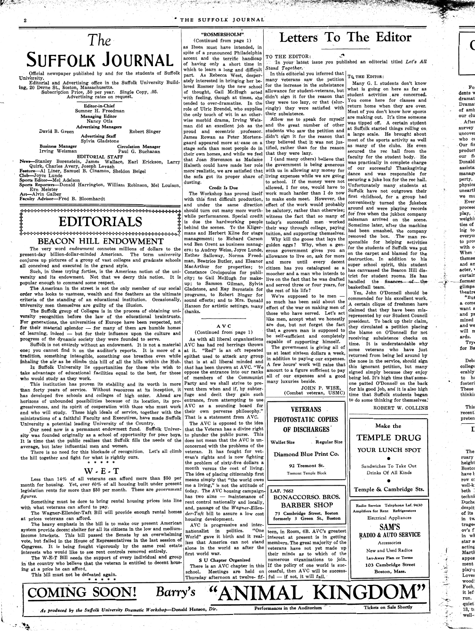**SUFFOLK JOURNAL** Official newspaper published by and for the students of Suffolk Editorial and Advertising office in the Suffolk University Build**ing,** 20 Derne St., Boston, Massachusetts.<br>Subscription Price, .50 per year. Single Copy, .05. ( Continued from page 1) as Ibsen must have intended, in spite of a pronounced Philadelphia accent and the terrific handicap of having only a short time in which to learn a long and difficult part. As Rebecca West, desperately interested in bringing her beloved Rosmer into the new school of thought, Gail McHugh acted with feeling, though at times, she tended to over-dramatize. In the role of Ulric Brendel, who supplies the only touch of wit in an otherwise morbid drama, Irving Weisproud and eccentric . professor. James Rowan as Peter Mortensgaard appeared more at-ease on a stage sofa than most people do in their own homes, and while we feel that Joan Stevenson as Madame Halseth could have made her role<br>more realistic, we are satisfied that Club-Joyce Lunde the sofa got its proper share of living expenses while we are going  $\begin{bmatrix} \text{a} \\ \text{a} \end{bmatrix}$  and was responsible for dusting.

+ **EDITORIALS** + Note of the Mile performances. Special credit<br>  $\begin{array}{r} \text{EDITORIALS} \\ \text{F1} \end{array}$   $\begin{array}{r} \text{F2} \end{array}$   $\begin{array}{r} \text{F3} \end{array}$   $\begin{array}{r} \text{F4} \end{array}$   $\begin{array}{r} \text{F5} \end{array}$   $\begin{array}{r} \text{F6} \end{array}$   $\begin{array}{r} \text{F6} \end{array}$   $\textbf{EDITORIALS}$   $\begin{array}{|l|l|} \hline \textbf{1} & \textbf{1} & \textbf{1} & \textbf{1} & \textbf{1} & \textbf{1} & \textbf{1} & \textbf{1} & \textbf{1} & \textbf{1} & \textbf{1} & \textbf{1} & \textbf{1} & \textbf{1} & \textbf{1} & \textbf{1} & \textbf{1} & \textbf{1} & \textbf{1} & \textbf{1} & \textbf{1} & \textbf{1} & \textbf{1} & \textbf{1} & \textbf{1} & \textbf{1} & \textbf{1} & \textbf{$ and Ben Orent as business manag-<br>ers; to Audrey Weiss, Joyce Lunde, up; to Samson Gilman, Sylvia<br> **Gladstone, and Ray Bernstein for** 

## Letters To The Editor

*The-*

Quirk, Charles Avery, Joseph Lavash **Feature--Al Liner, Samuel B. Cinamon, Sheldon Beigel more realistic, we are satisfied that** 

Advertising rates on request. **Editor-in-Chief**  Sumner H. Freedman **Managing Editdr**  Nancy Otis **Advertising Managers** 

\_David B. Green

Sports Editor--Mel Adelson<br>Sports Reporters--Donald Harrington, William Robinson, Mel Louison, dust Ern Meister **Credit Is Due Credit Is Due Credit Is Due** 

Art-Alvin Galber

Robert Singer

**Advertising Staff**  Sylvia Gladstone **Business Manager 6 Circulation Manager<br>
1997 1 Paul G. Buchanan** Paul G. Buchanan **EDITORIAL STAFF News--Stanley** Borenstein, James Wallace, Earl Erickson, Larry

### **"ROSMERSHOLM".**

**Faculty** Advisor-Fred B. Bloomhardt

❖❖❖❖❖❖❖❖i'❖❖❖•:O❖❖❖❖❖❖❖❖❖❖❖❖❖❖❖❖❖•H-❖❖❖❖❖❖❖❖❖❖❖❖❖❖❖❖ mans and Herbert Kline for stage

BEACON HILL ENDOWMENT

The very word *endowment* connotes millions of dollars to the ers; to Audrey Weiss, Joyce Lunde, ent-day billion-dollar-minded American. The term *university* Esther Salloway. Norma Freedpresent-day billion-dollar-minded American. The term *university* conjures up pictures of a group of vast colleges and graduate schools man, Beatrice Butler, and Eleanor all conceived and executed in the grand style. all conceived and executed in the grand style.<br>
Such, in these trying forties, is the American notion of the uni-<br>
Constance Coulopoulos for publi-

Such, in these trying forties, is the American notion of the uni**versity and its endowment.** Not that we decry this notion. It is city; to Gail McHugh for make-<br>popular enough to command some respect.

The American in the street is not the only member of our social Gladstone, and Ray Bernstein for<br>Ir who looks to vastness, wealth and fine feathers as the ultimate programs, to Robert Singer for order who looks to vastness, wealth and fine feathers as the ultimate programs, to Robert Singer for criteria of the standing of an educational institution. Occasionally, sound effects; and to Mrs. Donald criteria of the standing of an educational institution. Occasionally, sound effects; and to Mrs. Donald university men themselves are guilty of the illusion. university men themselves are guilty of the illusion.

The Suffolk group of Colleges is in the process of obtaining uni- $\tau$ <sub>thanks</sub>. versity recognition before the law of the educational braintrusts. For generations, the universities of Europe have been respected, not for their material splendor  $-$  for many of them are humble homes of learning, indeed - but for their influence upon the culture and progress of the dynamic society they were founded to serve. As with all liberal organizations<br>Suffolk is not entirely without an endowment. It is not a material AVC has had red herrings thrown

Suffolk is not entirely without an endowment. It is not a material one; you cannot find it on the auditor's reports. It is more of a at it. "Red" is an oft repeated tradition, something intangible, something one breathes even while epithet used to attack any group tradition, something intangible, something one breathes even while inhaling the air as he climbs this hill of all the hills within the Hub. that is at all liberal minded and<br>In Suffolk University lie opportunities for those who wish to that has been thrown at AVC. "We

In Suffolk University lie opportunities for those who wish to *that* has been thrown at AVC. "We<br>advantage of educational facilities equal to the best, for those oppose the entrance into our ranks take advantage of educational facilities equal to the best, for those oppose the entrance into our ranks  $\frac{1}{2}$  who would study as they work

This institution has proven its stability and its worth in more Party and we shall strive to prethan forty years of service. Without resources at its inception, it vent them when and if, by subter-<br>has developed five schools and colleges of high order. Ahead are fuge and decit they gain such has developed five schools and colleges of high order. Ahead are fuge and decit they gain such<br>horizons of unbounded possibilities because of its location, its pro-<br>entrance, from attempting to use horizons of unbounded possibilities because of its location, its pro- entrance, from attempting to use gressiveness, and its spirit of cooperation with those who must work  $\langle \text{AVC} \rangle$  as a sounding board for and who will study. These high ideals of service, together with the their own perverse philosophy. and who will study. These high ideals of service, together with the ministrations of a faithful Faculty and Executives, have made Suffolk That is a statement from AVC.

month for housing. Yet, over 60% of all housing built under present legislation rents for more than \$50 per month. These are *government figures.* ' Something must be done to bring rental housing prices into line with what veterans can afford to pay. The Wagner-Ellender-Taft Bill will proyide enough rental homes **at** prices veterans can afford. *<sup>1</sup>* The heavy emphasis in the bill is to make our present American system provide decent shelter for all its citizens in the low and mediumincome brackets. This bill passed the Senate by an overwhelming vote, but failed in the House of Representatives in the last session of Congress. It is being fought vigorously by the same real estate interests who would like to see rent controls removed entirely. The W-E-T Bill needs the support of every individual and group in' the country who believe that the veteran is entitled to decent housing at a price he can afford. This bill must not be defeated **again.**  \* \* \* \* \* means simply that "the world owes me a living," is not the attitude of today. The AVC housing campaignas two aims - maintenance of rent control nationally and locally, and, passage of the *Wagner-Ellender-Taft* bill to assure a low cost housing development. AVC is progressive and inter-<br>ationalist in nolitics. "One nationalist in politics. World" gave it birth and it realizes that America can not stand alone in the world as after the first world war. **S U Chapter Organized**  There is an AVC chapter in this school. Meetings are held on Thursday afternoon at twelve- fif-**LAP.** *7662*  **BONACCORSO. BROS. BARBER SHOP 73 Cambridge Street, Boston formerly 3 Green St., Boston**  teen, in Room, 6B. AVC's greatest interest at present is in getting members. The great majority of the veterans have not yet made up their minds as to which of the numerous organizations to, join. If the policy of one world is successful, then AVC will be success $ful - if not, it will fail.$ Radio Service Telephone **Laf.** 9430 Amplifiers for Rent Refrigerators Electrical Appliances SAM'S RADIO & AUTO SERVICE Accessories New and Used Radios **Lav-Away Plan or Terms 103 Cambridge Street Boston, Mass.**  - **COMING SOON!** *Barry's* **"ANIMAL KINGDOM"**  As produced by the Suffolk University Dramatic Workshop-Donald Hanson, Dir. **Performances in the Auditorium** *and a Tickets on Sale Shortly Tickets on Sale Shortly* 

**AVC** 

#### ( Continued from page 1)

who would study as they work.<br>This institution has proven its stability and its worth in more Party and we shall strive to pre-

. In this editorial you inferred that  $T_{\text{Q}}$  Th this editorial you interfed that  $T_{\text{Q}}$  THE EDITOR:<br>many veterans saw the petition for the increase in the subsistance allowance for student-veterans, but didn't sign it for the reason that they were too lazy, or that (slurringly) they were satisfied with

tified, rather than for the reason that they were lazy.

golden eggs? Why, when a gen- $\begin{bmatrix}$  sponsible for helping activities erous government gives you an  $\begin{bmatrix}$  for the students of Suffolk was put allowance to live on, ask for more  $\begin{vmatrix} 0 & \text{the } \text{target} \end{vmatrix}$  destruction. In addition to his and more until every decent<br>citizen has you catalogued as a citizen has you catalogued as a has canvassed the Beacon Hill dis-<br>moocher and a man who intends to  $\frac{1}{2}$  that for student reams. He has moocher and a man who intends to trict for student rooms. He has live on the fact that he was drafted live on the fact that he was drafted handled the  $\frac{1}{n}$  finances of the

those who have served. Let's act

man did an excellent job as the and the great number of other was tipped on. A certain student The Workshop has proved itself work much harder than I do now  $\begin{vmatrix} \text{sum} \\ \text{first} \\ \text{children} \end{vmatrix}$  outgrown their with this first difficult production, to make ends meet. However, the  $\int_{0}^{\text{first children}}$  childhood, for a group had and under the same direction effect of the work would probably conveniently turned, the jukebox Many G. I. students don't know what is going on here as far as student actvities , are concerned. You come here for classes and<br>return home when they are over. their subsistence.<br>their substance.<br>the matrix are making out. It's time someone Allow me to speak for myself are making out. It's time someone<br>ad the great number of other was tipped off. A certain student students who saw the petition and at Suffolk started things rolling on.<br>students who saw the petition and a large scale. He brought about didn't: sign it for the reason that  $\begin{vmatrix} a & large \end{vmatrix}$  scale. He brought about they believed that it was not jus- most of the sports activity as well<br>tif all orthorough the sports as many of the clubs. He even secured the rec hall from the<br>faculty for the student body. He I (and many others) believe that  $\frac{12}{100}$  for the student body. He the government is being generous was practically in complete charge  $\left| \text{ of } \right|$  our successful Thanksgiving with us in allowing any money for  $\begin{vmatrix} 01 & 011 \\ 01 & 011 \end{vmatrix}$  dance and was responsible for to school. If the money were not securing a juke box for the rec hall.<br>to school. If the money were not support the Unfortunately many students at allowed, I for one, would have to Unfortunately many students at be salutory; rather than otherwise; around and were playing records<br>be salutory; rather than otherwise; for free when the jukbox company while performances. Special credit witness the fact that so many of  $\begin{bmatrix}$  for free when the jukbox company is due the hardworking people today's successful men worked salesman arrived on the scene. their way through college, paying  $\left| \begin{array}{c} \text{Sometime later, after the machine} \\ \text{had been smashed, the company} \end{array} \right|$ tuition, and supporting themselves. had been smashed, the company Why kill the goose that lays the removed the box. The man resuper school spirit, this student

and served three or four years, for basketball team.<br>
the rest of his life?  $\begin{array}{r} \text{Yes, John O'Donnell should be} \\ \text{We're supposed to be men --} \\ \text{so much has been said about the} \\ \text{A certain clique of freshman have} \end{array}$ effect of the war on making men of  $\begin{bmatrix} \text{c} \\ \text{claimed} \end{bmatrix}$  that they have been misrepresented by our Student Council like men, accept what we honestly president. To back up their claim, are due, but not forget the fact  $\frac{1}{2}$  their circulated a neition plasment are due, but not forget the fact they circulated a petition placing that a grown man is supposed to the higher and CI annual for not that a grown man is supposed to the blame on O'Donnell for not<br>be self-sufficient and completely  $\begin{vmatrix}$  receiving subsistance checks on be self-sufficient and completely receiving subsistence checks on capable of supporting himself. pable of supporting himself.<br>The government is giving all of  $\begin{vmatrix} \text{time.} & \text{It} & \text{is understandable} \\ \text{some} & \text{interner, who} & \text{have } \text{inst} \end{vmatrix}$ The government is giving all of some veterans who have just<br>us at least sixteen dollars a week, noting from heing led spound by us at least sixteen dollars a, week, returned from being led around by in addition to paying our expenses. in addition to paying our expenses. the nose in the service, should sign  $A$  few hours' work will raise that  $\frac{1}{1 + \frac{1}{1 + \frac{1}{1 + \frac{1}{1 + \frac{1}{1 + \frac{1}{1 + \frac{1}{1 + \frac{1}{1 + \frac{1}{1 + \frac{1}{1 + \frac{1}{1 + \frac{1}{1 + \frac{1}{1 + \frac{1}{1 + \frac{1}{1 + \frac{1}{1$ A few hours' work will raise that this ignorant petition, but many<br>amount to a figure sufficient to pay signed simply because they enjoy amount to a figure sufficient to pay signed simply because they enjoy all of our expenses and a good being led  $\overline{I}$  is bight time that someall of our expenses and a good being led. It's high time that some-<br>many luxuries beside. beside.  $\begin{vmatrix} \text{one} \\ \text{one} \end{vmatrix}$  one patted O'Donnell on the back JOHN P. WISE, for his good job, and it is also high JOHN P. WISE, for his good job, and it is also high (Combat veteran, USMC) time that Suffolk students began time that Suffolk students began to do some thinking for themselves.<sup>t</sup> ROBERT W. OOLLINS

 $\overline{\mathcal{L}}$ . *-f'* · glimps, · theatrE

> *,,i*  <u>.</u><br>پ

 $\frac{1}{2}$ 

#### TO THE EDITOR:

In your latest issue you published an editorial titled Let's All *Stand Together.* 

University a potential leading University of the Country. Our need now is a permanent endowment fund. Suffolk University was founded originally as a school of opportunity for poor boys. It is time that the public realizes that Suffolk fills the needs of the average, but later influential men and women. There is no need for this blockade of recognition. Let's all climb the hill together and fight for what is rightly ours. \* \* \* \* **W- E-T**  Less than  $14\%$  of all veterans can afford more than \$50 per The AVC is opposed to the idea that the Veteran has a divine right to plunder the public purse. This does not mean that the AVC is unconcerned with the problems of the veteran. It has fought for veteran's rights and is now fighting the problem of sixty-five dollars a month versus the cost of living. The **idea** of placing citizenship first **OF DISCHARGES Wallet Size Regular Size**  Diamond Blue Print Co. 92 Tremont St. Tremont Temple Block

University.

**VETERANS** 





-,~-:> / ,. \_\_\_\_\_\_ ....,.\_;

 $\cdot$   $^{\prime\prime}$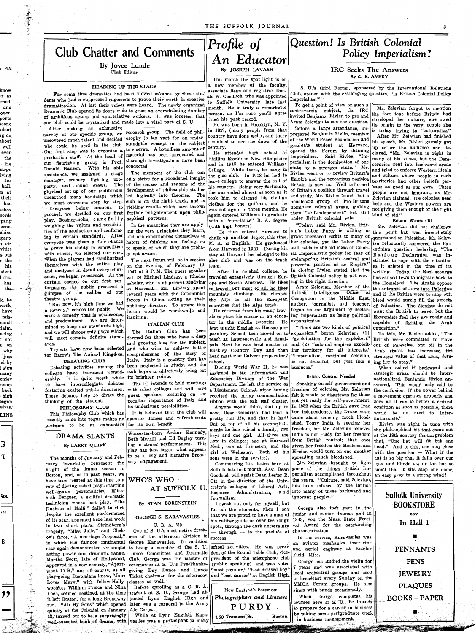THE SUFFOLK JOURNAL



By Joyce Lunde Club Editor

#### **HEADING UP THE STAGE**

For some time dramatics had been viewed askance by those students who had a suppressed eagerness to prove their worth in creative dramatization. At last their voices were heard. The newly organized Dramatic Club opened its doors wide to greet an overwhelming number of ambitious actors and appreciative workers. It was foreseen that our club could be crystalized and made into a vital part of S. U.

After making an exhaustive survey of our specific group, we who could be used in the club. Our first step was to organize a production staff. At the head of our flourishing group is Prof. Donald Hanson. With his able assistance, we assigned a stage manager, scenery, lighting, property, and sound crews. physical set-up of our auditorium unearthed many handicaps which we must overcome step by step. proceed, we decided on our first further enlightenment upon philoplay, Rosmersholm, carefully weighing the values and possibilities of the production and conforming to certain standards. After everyone was given a fair chance to prove his ability in competition with others, we selected our cast. When the players had familiarized themselves with the entire play and analyzed in detail every character, we began rehearsals. As the curtain opened on our first performance, the public procured a glimpse of the caliber of our theatre group.

大学大学 ちゃ

"But now, it's high time we had a comedy," echoes the public. We want a comedy that is wholesome, and predominant. We are determined to keep our standards high, and we will choose only plays which will meet certain definite standards.

Tryouts have now been selected for Barry's The Animal Kingdom.

### DEBATING CLUB

Debating activities among the colleges have increased considerably. It is quite worth while to have intercollegiate debates fostering exalted public discussion. These debates help to direct the thinking of the student.

#### PHILOSOPHY- CLUB

This Philosophy Club which has recently come into vogue makes no pretense to be an exhaustive for its own benefit.

### DRAMA SLANTS By LARRY QUIRK

The months of January and February invariably represent the height of the drama season in Boston, and, as in past years, we have been treated at this time to a WHO'S WHO. row of distinguished plays starring well-known personalities, Elisabeth Bergner, a skillful dramatic

小学大学 にって

منبور<br>پهلوینې<br>د لمان

research group. The field of philuncovered much talent and decided osophy is too vast for an understandable concept on the subject to emerge. A boundless amount of material has been uncovered and thorough investigations have been conducted.

The members of the club can only strive for a broadened insight The of the causes and reasons of the development of philosophic studies led logically into theories. The club is on the right track, and is Everyone being anxious to yielding results which have thrown sophical patterns.

> In the meantime they are applying the very principles they learn, and are conditioning themselves to habits of thinking and feeling, so to speak, of which they are probaly not aware.

The next forum will be in session on the evening of February 19, 1947 at 8 P.M. The guest speaker will be Michael Lindsay, a Rhodes scholar, who is at present studying at Harvard. Mr. Lindsay spent several years with the Communist forces in China acting as their publicity director. To attend this forum would be worthwhile and inspiring.

#### ITALIAN CLUB

The Italian Club has been formed for those who have a deep and growing love for the subject, and who wish to achieve better comprehension of the story of Italy. Italy is a country that has been neglected in study, and the club hopes to objectively bring out its brighter points.

The IC intends to hold meetings with other colleges and will have guest speakers lecturing on the peculiar importance of Italy and its underlying possibilities.

It is believed that the club will sponsor dances and refreshments

Worcester-born Arthur Kennedy, Beth Merrill and Ed Begley turning in strong performances. This play has just begun what appears

to be a long and lucrative Broadway engagement.

## Profile of An Educator By JOSEPH LAVASH

This month the spot light is on a new member of the faculty, associate Dean and registrar Donald W. Goodrich, who was appointed to Suffolk University late last month. He is truly a remarkable person, as I'm sure you'll agree from his past record.

He was born in Brooklyn, N. Y. in 1898, (many people from that country have done well), and there remained to see the dawn of the century.

He attended high school at Phillips Exeter in New Hampshire and in 1915 he entered Williams College. While there, he sang in the glee club. In 1918 he had to leave college to answer the call of his country. Being very fortunate, the war ended almost as soon as it took him to discard his civilian clothes for the uniform, and he was out again in three months. He again entered Williams to graduate with a "cum-laude" B. A. degree (with high honors).

He then entered Harvard to chalk up another degree, this time, M. A. in English. He graduated from Harvard in 1920. During his stay at Harvard, he belonged to the glee club and was on the track team.

After he finished college, he traveled extensively through Europe and South America. He likes to travel, but most of all, he likes mountain climbing. He climbed the Alps in all the European countries that the Alps touch. He returned from his many trav-

els to start his career as an educator in the middle twenties. He first taught English at Hoosac preparatory School, then moved on to teach at Lawrenceville and Amalpais. Next he was head master at Buckley Country Day and then head master at Calvert preparatory school.

During World War II, he was assigned to the Information and Education Division of the War Department. He left the service as a Lieutenant Colonel, after having received the Army commendation ribbon with the oak leaf cluster.

Anyone would think, that up to now, Dean Goodrich had lead a pretty full life, and that he had! But on top of all his accomplishments he has raised a family, two boys and one girl. All three are Med., one at Princeton, and the sons were in the service).

Commencing his duties here at Suffolk late last month, Asst. Dean Goodrich will assist Dean Lester R. Ott in the direction of the Univ-AT SUFFOLK U. ersity's colleges of Liberal Arts, has been infused by the British Business Administration, and into many of these backward and

## Question! Is British Colonial Policy Imperialism?

#### **IRC** Seeks The Answers By C. K. AVERY

S. U.'s third Forum, sponsored by the International Relations Club, opened with the challenging question, "Is British Colonial Policy Imperialism?"

To get a point of view on such a controversial subject, the IRC invited Benjamin Rivlen to pro and Aram Zelevian to con the question.

Before a large attendance, unprepared Benjamin Rivlin, member of the World Peace Foundation and graduate student at Harvard. opened the Forum by defining Imperialism. Said Rivlen, "Imperialism is the domination of one state by a stronger state." Mr. Rivlen went on to review Britain's Empire and the precarious position Britain is now in. Well informed of Britain's position through travel and study, Mr. Rivlen found that a neucleonic group of Pro-Britons dominate colonial areas, making them "self-independent" but still under British colonial rule.

"Today, said Mr. Rivlen, Britain's Labor Party is willing to grant increased rights to many of her colonies, yet the Labor Party still holds to the old ideas of Colonial Imperialistic policy for fear of endangering Britain's central and powerful position as an Empire." In closing Rivlen stated that the British Colonial policy is not moving in the right direction.

Aram Zelevian, Member of the British Intelligence Office of Occupation in the Middle East, author, journalist, and teacher, began his con argument by declaring imperialism as being political expansionism.

"There are two kinds of political expansion," began Zelevian, (1) "exploitation for the exploiters" and (2) "colonial empires exploiting territory for all interests." "Imperialism, continued Zelevian, is not dreadful, but just like  $\mathbf a$ business."

#### **British Control Needed**

Speaking on self-government and freedom of colonies, Mr. Zelevian felt it would be disastrous for those not yet ready for self-government. In 1932 when the British gave Iraq her independence, the Druse wars came about causing much bloodshed. Today India is seeking her freedom, but Mr. Zelevian believes India is not ready for her freedom now in colleges; one at Harvard from British control; that once given her freedom the Moslems and girl at Wellesley. Both of his Hindus would turn on one another spreading much bloodshed.

Mr. Zelevian brought to light some of the things British Imperialism accomplished throughout the years. "Culture, said Zelevian, ignorant peoples."

the fact that before Britain had developed her culture, she owed its origin to the very people she is today trying to "culturalize." After Mr. Zelevian had finished his speech, Mr. Rivlen gamely got up before the audience and declared, "Mr. Zelevian is right in many of his views, but the Democracies went into backward areas and tried to enforce Western ideals and culture where people in such territories had other beliefs perhaps as good as our own. These people are not ignorant, as Mr. Zelevian claimed. The colonies need help and the Western powers are not giving them enough or the right kind of aid."

Mr. Zelevian forgot to mention

#### Britain Wants Oil

Mr. Zelevian did not challenge this point but was immediately questioned on Palestine. Mr. Zelevian reluctantly answered the Palestinian question declaring, "The Balfour Declaration was instituted to cope with the situation as it existed in the time of its writing. Today, the Nazi scourge has caused Jews to migrate back to the Homeland. The Arabs oppose the entrance of Jews into Palestine and if the British were to step out, blood would surely fill the streets. of Palestine. The Zionists do not want the British to leave, but the Extremists feel they are ready and capable of fighting the Arab opposition."

To this, Mr. Rivlen added, "The British were committed to move out of Palestine, but oil in the Arab states has increased the strategic value of that area, forcing her to stay."

When asked if backward and strategic areas should be internationalized, Benjamin Rivlen answered, "This would only add to the confusion. If the power behind a movement operates properly and does all it can to better a critical condition as soon as possible, there would be no need to Internationalize."

Rivlen was right in tune with the philosophical bit that came out of the 18th century Cretan problem that, "One hat will fit but one head." And to this, one may close with the question - What if the hat is so big that it falls over our eyes and blinds us; or the hat so small that it sits atop our dome, an easy prey to a strong wind?

### Suffolk University

| echnician whose last play, "The                 | By STAN BORENSTEIN                                                                                    | I speak not only for myself, but    |                                     | <b>BOOKSTORE</b>     |
|-------------------------------------------------|-------------------------------------------------------------------------------------------------------|-------------------------------------|-------------------------------------|----------------------|
| uchess of Malfi," failed to click               |                                                                                                       | for all the students, when I say    | George also took part in the        |                      |
| espite the excellent performance                | GEORGE S. KARAVASILES                                                                                 | that we are proud to have a man of  | junior and senior dramas and in     | now                  |
| $f$ its star, appeared here last week           |                                                                                                       | his caliber guide us over the rough | 1943, won the Mass. State Festi-    | In Hall 1            |
| u two short plays, Strindberg's                 | C. B. A. '50                                                                                          | spots, through the dark uncertainty | val Award for the outstanding       |                      |
| ragedy, "Miss Julie," and Chek-                 | One of S. U.'s most active fresh-                                                                     | - through - to the prelude of       | characterization.                   |                      |
|                                                 | v's farce, "A marriage Proposal,"   men of the afternoon division is                                  | success.                            | In the service, Karavasiles was     |                      |
|                                                 | 1 which the famuos continental George Karavasiles. In addition                                        |                                     | an aviator mechanics instructor     |                      |
|                                                 | tar again demonstrated her unique   to being a member of the S. U.   school activities. He was presi- |                                     | and aerial engineer at Keesler      | <b>PENNANTS</b>      |
|                                                 | cting power and dramatic range. Dance Committee and Dramatic dent of the Round Table Club, vice-      |                                     | Field, Miss.                        |                      |
|                                                 | fartha Scott, late of Hollywood, Club, George was the master of president of the microphone club      |                                     | George has studied the violin for   | <b>PENS</b>          |
|                                                 | ppeared in a new comedy, "Apart- ceremonies at S. U.'s Pre-Thanks- (public speaking) and was voted    |                                     | years and was associated with       |                      |
|                                                 | nent 17-B," and of course, as all giving Day Dance and Dance "most popular," "best dressed boy"       |                                     | local orchestral groups and used    | <b>JEWELRY</b>       |
|                                                 | lay-going Bostonians know, "John Ticket chairman for the afternoon and "best dancer" at English High. |                                     | to broadcast every Sunday on the    |                      |
| oves Mary," with fellow Holly- classes as well. |                                                                                                       |                                     | YMCA Forum groups. He also          |                      |
|                                                 | voodites William Prince and Nina   Before enrolling as a C. B. A.                                     | New England's Foremost              | sings with bands occasionally.      | <b>PLAQUES</b>       |
|                                                 | "och, seemed destined, at the time student at S. U., George had at-                                   |                                     | When George completes his           |                      |
|                                                 | t left Boston, for a long Broadway tended Lynn English High and                                       | Photographers and Limners           | courses here at S. U., he intends   | <b>BOOKS – PAPER</b> |
|                                                 | un. "All My Sons" which opened later was a corporal in the Army                                       | PURDY                               | to prepare for a career in business |                      |
| uietly at the Colonial on January Air Corps.    |                                                                                                       |                                     | by taking some postgraduate work    |                      |
|                                                 | 3, turned out to be a surprisingly While at Lynn English, Kara-                                       | 160 Tremont St.<br>· Boston         | in business management.             |                      |
|                                                 | well-executed hunk of drama, with vasiles was a participant in many                                   |                                     |                                     |                      |
|                                                 |                                                                                                       |                                     | <b>CONTRACTOR</b>                   |                      |